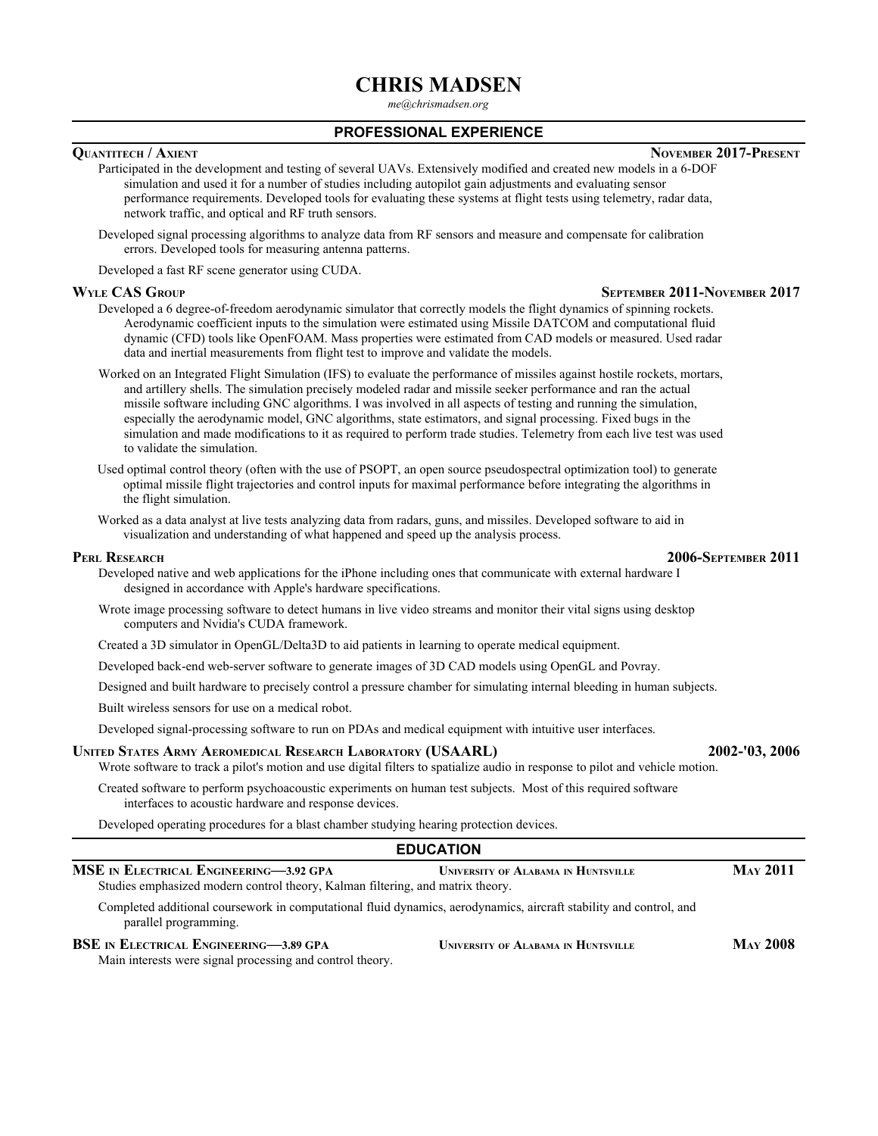# **CHRIS MADSEN**

*me@chrismadsen.org*

### **PROFESSIONAL EXPERIENCE**

# **QUANTITECH / AXIENT NOVEMBER 2017-PRESENT**

Participated in the development and testing of several UAVs. Extensively modified and created new models in a 6-DOF simulation and used it for a number of studies including autopilot gain adjustments and evaluating sensor performance requirements. Developed tools for evaluating these systems at flight tests using telemetry, radar data, network traffic, and optical and RF truth sensors.

Developed signal processing algorithms to analyze data from RF sensors and measure and compensate for calibration errors. Developed tools for measuring antenna patterns.

Developed a fast RF scene generator using CUDA.

- Developed a 6 degree-of-freedom aerodynamic simulator that correctly models the flight dynamics of spinning rockets. Aerodynamic coefficient inputs to the simulation were estimated using Missile DATCOM and computational fluid dynamic (CFD) tools like OpenFOAM. Mass properties were estimated from CAD models or measured. Used radar data and inertial measurements from flight test to improve and validate the models.
- Worked on an Integrated Flight Simulation (IFS) to evaluate the performance of missiles against hostile rockets, mortars, and artillery shells. The simulation precisely modeled radar and missile seeker performance and ran the actual missile software including GNC algorithms. I was involved in all aspects of testing and running the simulation, especially the aerodynamic model, GNC algorithms, state estimators, and signal processing. Fixed bugs in the simulation and made modifications to it as required to perform trade studies. Telemetry from each live test was used to validate the simulation.
- Used optimal control theory (often with the use of PSOPT, an open source pseudospectral optimization tool) to generate optimal missile flight trajectories and control inputs for maximal performance before integrating the algorithms in the flight simulation.
- Worked as a data analyst at live tests analyzing data from radars, guns, and missiles. Developed software to aid in visualization and understanding of what happened and speed up the analysis process.

Developed native and web applications for the iPhone including ones that communicate with external hardware I designed in accordance with Apple's hardware specifications.

Wrote image processing software to detect humans in live video streams and monitor their vital signs using desktop computers and Nvidia's CUDA framework.

Created a 3D simulator in OpenGL/Delta3D to aid patients in learning to operate medical equipment.

Developed back-end web-server software to generate images of 3D CAD models using OpenGL and Povray.

Designed and built hardware to precisely control a pressure chamber for simulating internal bleeding in human subjects.

Built wireless sensors for use on a medical robot.

Developed signal-processing software to run on PDAs and medical equipment with intuitive user interfaces.

#### **UNITED STATES ARMY AEROMEDICAL RESEARCH LABORATORY (USAARL) 2002-'03, 2006**

Wrote software to track a pilot's motion and use digital filters to spatialize audio in response to pilot and vehicle motion.

Created software to perform psychoacoustic experiments on human test subjects. Most of this required software interfaces to acoustic hardware and response devices.

Developed operating procedures for a blast chamber studying hearing protection devices.

### **EDUCATION**

| MSE IN ELECTRICAL ENGINEERING—3.92 GPA                                                                                                      | UNIVERSITY OF ALABAMA IN HUNTSVILLE        | <b>MAY 2011</b> |
|---------------------------------------------------------------------------------------------------------------------------------------------|--------------------------------------------|-----------------|
| Studies emphasized modern control theory, Kalman filtering, and matrix theory.                                                              |                                            |                 |
| Completed additional coursework in computational fluid dynamics, aerodynamics, aircraft stability and control, and<br>parallel programming. |                                            |                 |
| <b>BSE</b> IN ELECTRICAL ENGINEERING-3.89 GPA                                                                                               | <b>UNIVERSITY OF ALABAMA IN HUNTSVILLE</b> | <b>MAY 2008</b> |
| Main interests were signal processing and control theory.                                                                                   |                                            |                 |

#### **PERL RESEARCH 2006-SEPTEMBER 2011**

# **WYLE CAS GROUP SEPTEMBER 2011-NOVEMBER 2017**